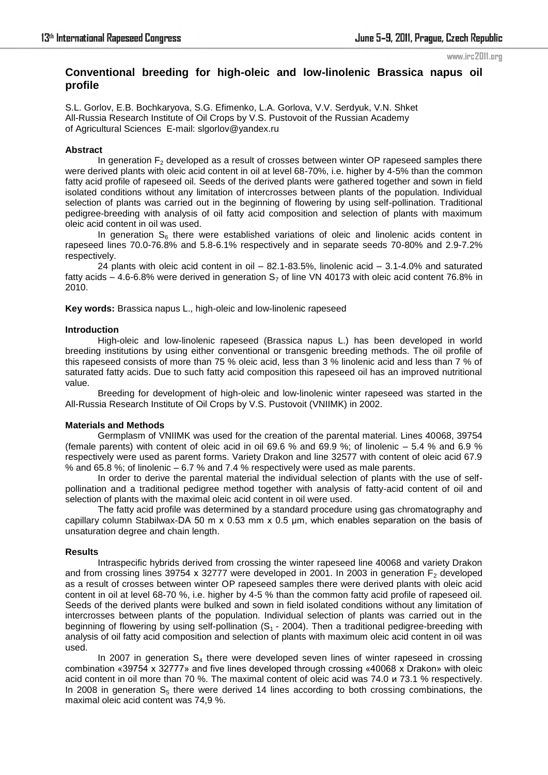#### www.irc2011.org

# **Conventional breeding for high-oleic and low-linolenic Brassica napus oil profile**

S.L. Gorlov, E.B. Bochkaryova, S.G. Efimenko, L.A. Gorlova, V.V. Serdyuk, V.N. Shket All-Russia Research Institute of Oil Crops by V.S. Pustovoit of the Russian Academy of Agricultural Sciences E-mail: slgorlov@yandex.ru

## **Abstract**

In generation  $F<sub>2</sub>$  developed as a result of crosses between winter OP rapeseed samples there were derived plants with oleic acid content in oil at level 68-70%, i.e. higher by 4-5% than the common fatty acid profile of rapeseed oil. Seeds of the derived plants were gathered together and sown in field isolated conditions without any limitation of intercrosses between plants of the population. Individual selection of plants was carried out in the beginning of flowering by using self-pollination. Traditional pedigree-breeding with analysis of oil fatty acid composition and selection of plants with maximum oleic acid content in oil was used.

In generation  $S_6$  there were established variations of oleic and linolenic acids content in rapeseed lines 70.0-76.8% and 5.8-6.1% respectively and in separate seeds 70-80% and 2.9-7.2% respectively.

24 plants with oleic acid content in oil – 82.1-83.5%, linolenic acid – 3.1-4.0% and saturated fatty acids – 4.6-6.8% were derived in generation  $S<sub>7</sub>$  of line VN 40173 with oleic acid content 76.8% in 2010.

**Key words:** Brassica napus L., high-oleic and low-linolenic rapeseed

## **Introduction**

High-oleic and low-linolenic rapeseed (Brassica napus L.) has been developed in world breeding institutions by using either conventional or transgenic breeding methods. The oil profile of this rapeseed consists of more than 75 % oleic acid, less than 3 % linolenic acid and less than 7 % of saturated fatty acids. Due to such fatty acid composition this rapeseed oil has an improved nutritional value.

Breeding for development of high-oleic and low-linolenic winter rapeseed was started in the All-Russia Research Institute of Oil Crops by V.S. Pustovoit (VNIIMK) in 2002.

## **Materials and Methods**

Germplasm of VNIIMK was used for the creation of the parental material. Lines 40068, 39754 (female parents) with content of oleic acid in oil 69.6 % and 69.9 %; of linolenic – 5.4 % and 6.9 % respectively were used as parent forms. Variety Drakon and line 32577 with content of oleic acid 67.9 % and 65.8 %; of linolenic  $-6.7$  % and 7.4 % respectively were used as male parents.

In order to derive the parental material the individual selection of plants with the use of selfpollination and a traditional pedigree method together with analysis of fatty-acid content of oil and selection of plants with the maximal oleic acid content in oil were used.

The fatty acid profile was determined by a standard procedure using gas chromatography and capillary column Stabilwax-DA 50 m x 0.53 mm x 0.5 µm, which enables separation on the basis of unsaturation degree and chain length.

## **Results**

Intraspecific hybrids derived from crossing the winter rapeseed line 40068 and variety Drakon and from crossing lines 39754 x 32777 were developed in 2001. In 2003 in generation  $F<sub>2</sub>$  developed as a result of crosses between winter OP rapeseed samples there were derived plants with oleic acid content in oil at level 68-70 %, i.e. higher by 4-5 % than the common fatty acid profile of rapeseed oil. Seeds of the derived plants were bulked and sown in field isolated conditions without any limitation of intercrosses between plants of the population. Individual selection of plants was carried out in the beginning of flowering by using self-pollination  $(S_1 - 2004)$ . Then a traditional pedigree-breeding with analysis of oil fatty acid composition and selection of plants with maximum oleic acid content in oil was used.

In 2007 in generation  $S_4$  there were developed seven lines of winter rapeseed in crossing combination «39754 х 32777» and five lines developed through crossing «40068 х Drakon» with oleic acid content in oil more than 70 %. The maximal content of oleic acid was 74.0 и 73.1 % respectively. In 2008 in generation  $S_5$  there were derived 14 lines according to both crossing combinations, the maximal oleic acid content was 74,9 %.